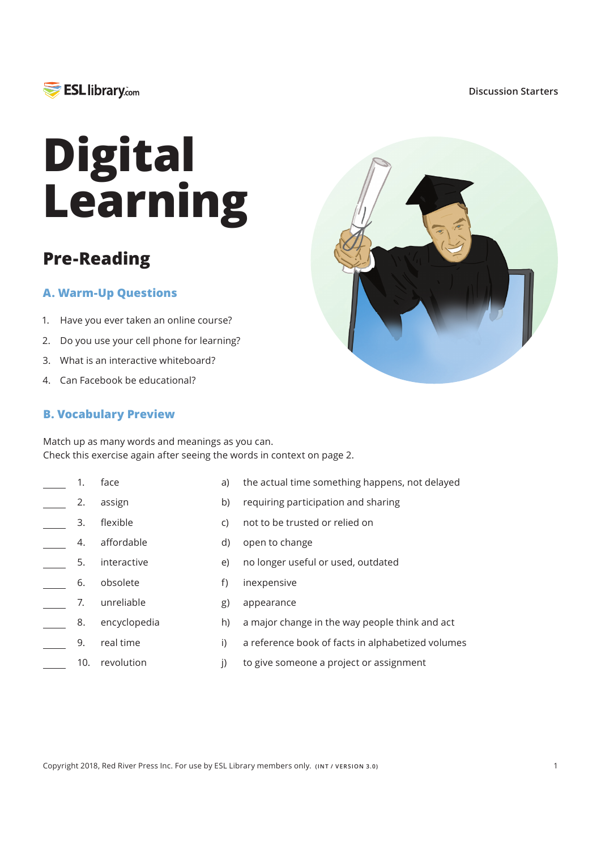

#### **Discussion Starters**

# **Digital Learning**

## **Pre-Reading**

### **A. Warm-Up Questions**

- 1. Have you ever taken an online course?
- 2. Do you use your cell phone for learning?
- 3. What is an interactive whiteboard?
- 4. Can Facebook be educational?

#### **B. Vocabulary Preview**

Match up as many words and meanings as you can. Check this exercise again after seeing the words in context on page 2.

 $a)$ 

- face 1.
- assign 2.
- flexible 3.
- affordable 4.
- interactive 5.
- obsolete 6.
- 
- unreliable  $-7.$
- encyclopedia 8.
- $\overline{a}$ 9. real time
- 10. revolution
- $b)$ requiring participation and sharing
- $\mathsf{C}$ not to be trusted or relied on
- d) open to change
	- e) no longer useful or used, outdated
- $f$ inexpensive
	- $g)$ appearance
		- $h)$ a major change in the way people think and act

the actual time something happens, not delayed

- i) a reference book of facts in alphabetized volumes
- $\overline{I}$ to give someone a project or assignment